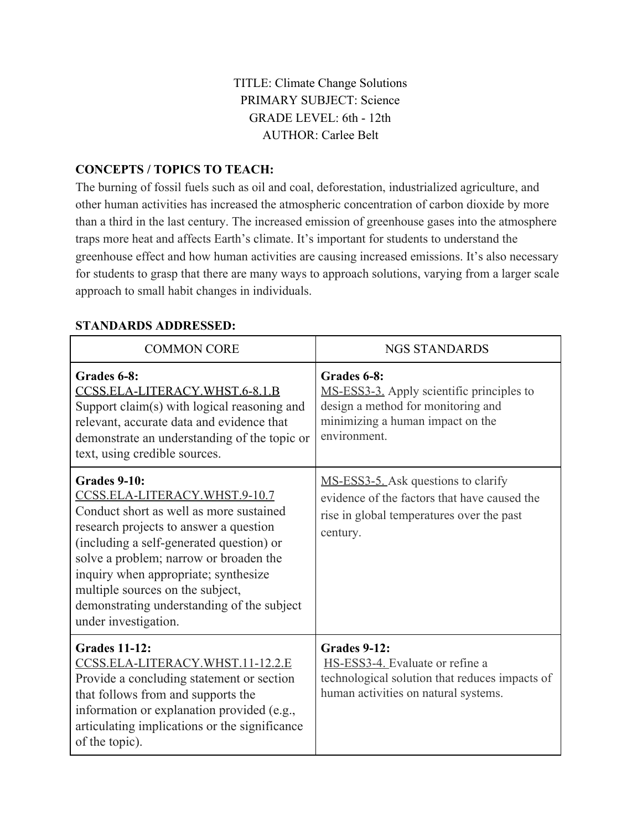# TITLE: Climate Change Solutions PRIMARY SUBJECT: Science GRADE LEVEL: 6th - 12th AUTHOR: Carlee Belt

## **CONCEPTS / TOPICS TO TEACH:**

The burning of fossil fuels such as oil and coal, deforestation, industrialized agriculture, and other human activities has increased the atmospheric concentration of carbon dioxide by more than a third in the last century. The increased emission of greenhouse gases into the atmosphere traps more heat and affects Earth's climate. It's important for students to understand the greenhouse effect and how human activities are causing increased emissions. It's also necessary for students to grasp that there are many ways to approach solutions, varying from a larger scale approach to small habit changes in individuals.

| <b>COMMON CORE</b>                                                                                                                                                                                                                                                                                                                                                                | <b>NGS STANDARDS</b>                                                                                                                               |
|-----------------------------------------------------------------------------------------------------------------------------------------------------------------------------------------------------------------------------------------------------------------------------------------------------------------------------------------------------------------------------------|----------------------------------------------------------------------------------------------------------------------------------------------------|
| Grades 6-8:<br>CCSS.ELA-LITERACY.WHST.6-8.1.B<br>Support claim(s) with logical reasoning and<br>relevant, accurate data and evidence that<br>demonstrate an understanding of the topic or<br>text, using credible sources.                                                                                                                                                        | Grades 6-8:<br>MS-ESS3-3. Apply scientific principles to<br>design a method for monitoring and<br>minimizing a human impact on the<br>environment. |
| <b>Grades 9-10:</b><br>CCSS.ELA-LITERACY.WHST.9-10.7<br>Conduct short as well as more sustained<br>research projects to answer a question<br>(including a self-generated question) or<br>solve a problem; narrow or broaden the<br>inquiry when appropriate; synthesize<br>multiple sources on the subject,<br>demonstrating understanding of the subject<br>under investigation. | MS-ESS3-5. Ask questions to clarify<br>evidence of the factors that have caused the<br>rise in global temperatures over the past<br>century.       |
| <b>Grades 11-12:</b><br><u>CCSS.ELA-LITERACY.WHST.11-12.2.E</u><br>Provide a concluding statement or section<br>that follows from and supports the<br>information or explanation provided (e.g.,<br>articulating implications or the significance<br>of the topic).                                                                                                               | <b>Grades 9-12:</b><br>HS-ESS3-4. Evaluate or refine a<br>technological solution that reduces impacts of<br>human activities on natural systems.   |

#### **STANDARDS ADDRESSED:**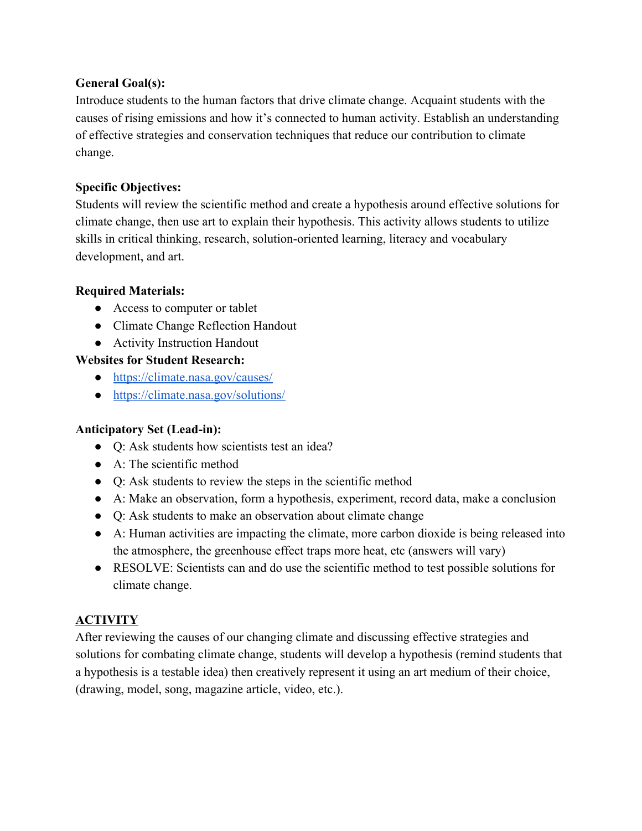## **General Goal(s):**

Introduce students to the human factors that drive climate change. Acquaint students with the causes of rising emissions and how it's connected to human activity. Establish an understanding of effective strategies and conservation techniques that reduce our contribution to climate change.

## **Specific Objectives:**

Students will review the scientific method and create a hypothesis around effective solutions for climate change, then use art to explain their hypothesis. This activity allows students to utilize skills in critical thinking, research, solution-oriented learning, literacy and vocabulary development, and art.

### **Required Materials:**

- Access to computer or tablet
- Climate Change Reflection Handout
- Activity Instruction Handout

## **Websites for Student Research:**

- <https://climate.nasa.gov/causes/>
- [https://climate.nasa.gov/solutions/](https://climate.nasa.gov/solutions/adaptation-mitigation/)

## **Anticipatory Set (Lead-in):**

- Q: Ask students how scientists test an idea?
- $\bullet$  A: The scientific method
- Q: Ask students to review the steps in the scientific method
- A: Make an observation, form a hypothesis, experiment, record data, make a conclusion
- Q: Ask students to make an observation about climate change
- A: Human activities are impacting the climate, more carbon dioxide is being released into the atmosphere, the greenhouse effect traps more heat, etc (answers will vary)
- RESOLVE: Scientists can and do use the scientific method to test possible solutions for climate change.

# **ACTIVITY**

After reviewing the causes of our changing climate and discussing effective strategies and solutions for combating climate change, students will develop a hypothesis (remind students that a hypothesis is a testable idea) then creatively represent it using an art medium of their choice, (drawing, model, song, magazine article, video, etc.).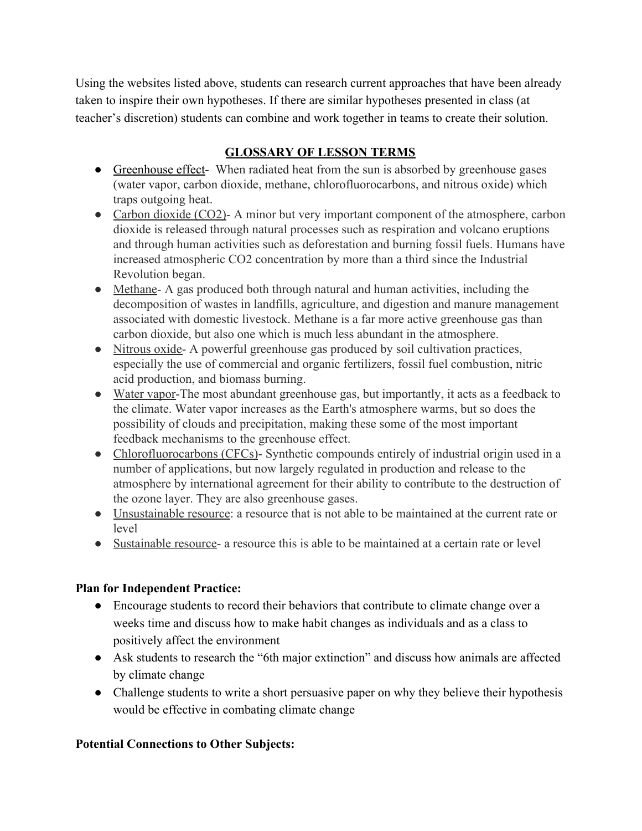Using the websites listed above, students can research current approaches that have been already taken to inspire their own hypotheses. If there are similar hypotheses presented in class (at teacher's discretion) students can combine and work together in teams to create their solution.

## **GLOSSARY OF LESSON TERMS**

- Greenhouse effect- When radiated heat from the sun is absorbed by greenhouse gases (water vapor, carbon dioxide, methane, chlorofluorocarbons, and nitrous oxide) which traps outgoing heat.
- Carbon dioxide (CO2)- A minor but very important component of the atmosphere, carbon dioxide is released through natural processes such as respiration and volcano eruptions and through human activities such as deforestation and burning fossil fuels. Humans have increased atmospheric CO2 concentration by more than a third since the Industrial Revolution began.
- Methane- A gas produced both through natural and human activities, including the decomposition of wastes in landfills, agriculture, and digestion and manure management associated with domestic livestock. Methane is a far more active greenhouse gas than carbon dioxide, but also one which is much less abundant in the atmosphere.
- Nitrous oxide- A powerful greenhouse gas produced by soil cultivation practices, especially the use of commercial and organic fertilizers, fossil fuel combustion, nitric acid production, and biomass burning.
- Water vapor-The most abundant greenhouse gas, but importantly, it acts as a feedback to the climate. Water vapor increases as the Earth's atmosphere warms, but so does the possibility of clouds and precipitation, making these some of the most important feedback mechanisms to the greenhouse effect.
- Chlorofluorocarbons (CFCs)- Synthetic compounds entirely of industrial origin used in a number of applications, but now largely regulated in production and release to the atmosphere by international agreement for their ability to contribute to the destruction of the ozone layer. They are also greenhouse gases.
- Unsustainable resource: a resource that is not able to be maintained at the current rate or level
- Sustainable resource- a resource this is able to be maintained at a certain rate or level

## **Plan for Independent Practice:**

- Encourage students to record their behaviors that contribute to climate change over a weeks time and discuss how to make habit changes as individuals and as a class to positively affect the environment
- Ask students to research the "6th major extinction" and discuss how animals are affected by climate change
- Challenge students to write a short persuasive paper on why they believe their hypothesis would be effective in combating climate change

# **Potential Connections to Other Subjects:**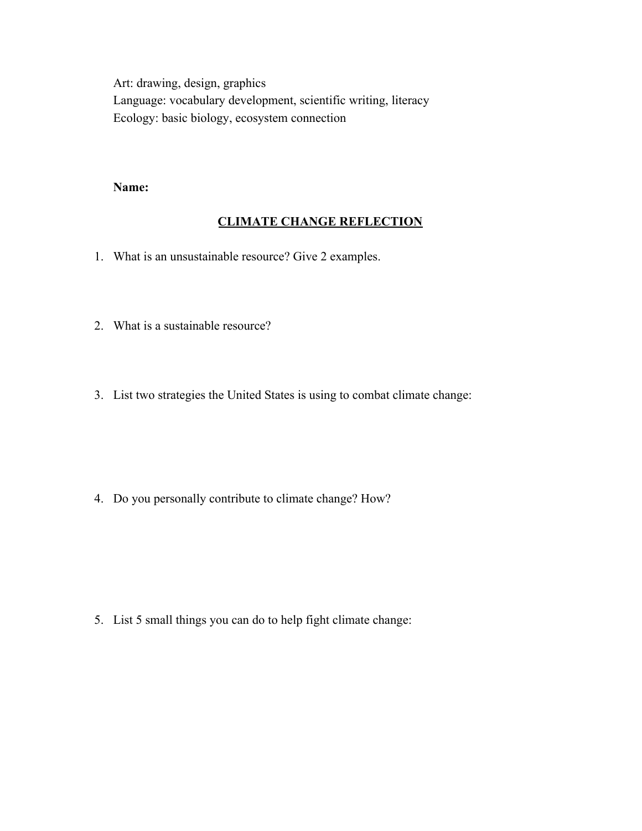Art: drawing, design, graphics Language: vocabulary development, scientific writing, literacy Ecology: basic biology, ecosystem connection

#### **Name:**

#### **CLIMATE CHANGE REFLECTION**

- 1. What is an unsustainable resource? Give 2 examples.
- 2. What is a sustainable resource?
- 3. List two strategies the United States is using to combat climate change:

4. Do you personally contribute to climate change? How?

5. List 5 small things you can do to help fight climate change: